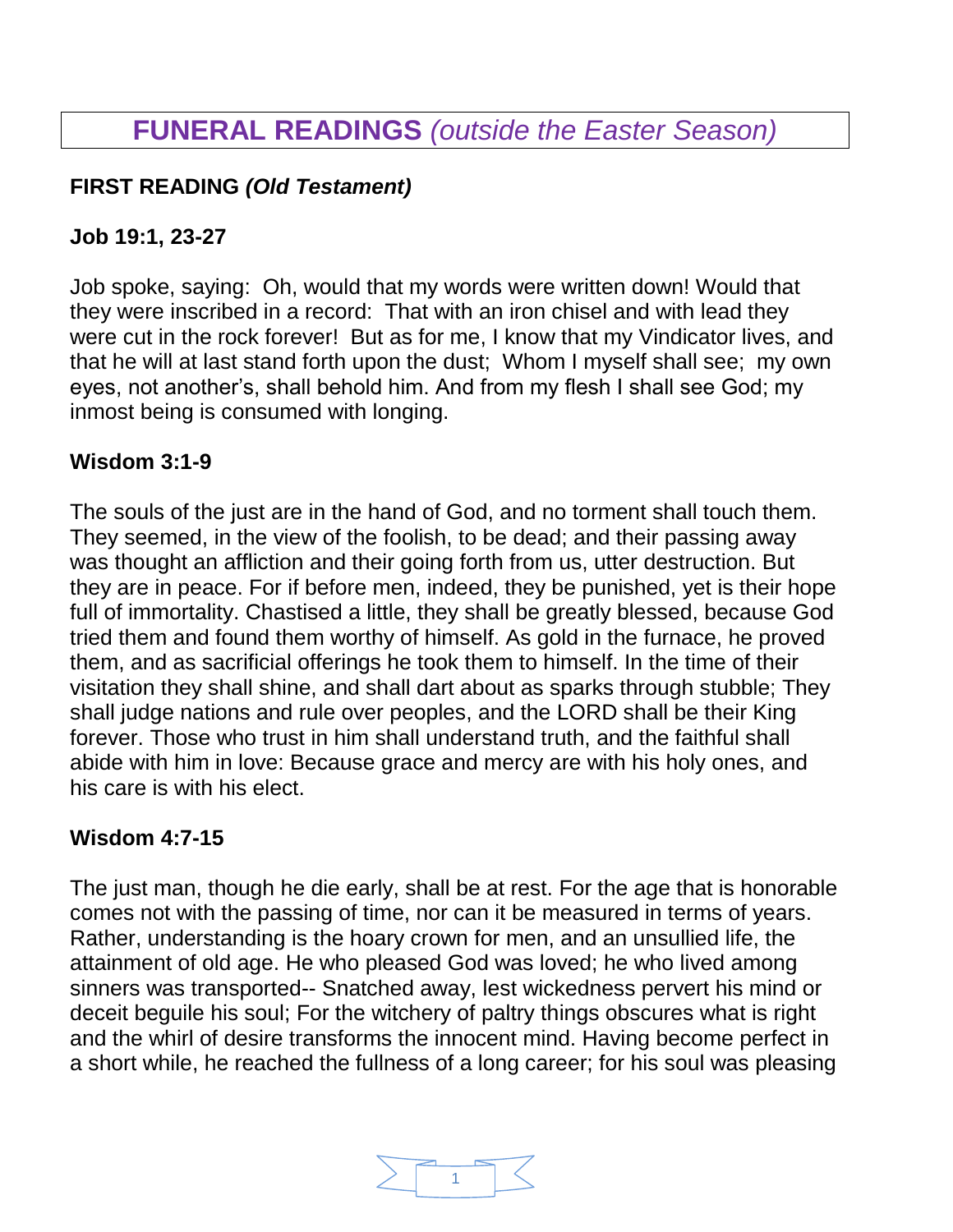### **FIRST READING** *(Old Testament)*

#### **Job 19:1, 23-27**

Job spoke, saying: Oh, would that my words were written down! Would that they were inscribed in a record: That with an iron chisel and with lead they were cut in the rock forever! But as for me, I know that my Vindicator lives, and that he will at last stand forth upon the dust; Whom I myself shall see; my own eyes, not another's, shall behold him. And from my flesh I shall see God; my inmost being is consumed with longing.

#### **Wisdom 3:1-9**

The souls of the just are in the hand of God, and no torment shall touch them. They seemed, in the view of the foolish, to be dead; and their passing away was thought an affliction and their going forth from us, utter destruction. But they are in peace. For if before men, indeed, they be punished, yet is their hope full of immortality. Chastised a little, they shall be greatly blessed, because God tried them and found them worthy of himself. As gold in the furnace, he proved them, and as sacrificial offerings he took them to himself. In the time of their visitation they shall shine, and shall dart about as sparks through stubble; They shall judge nations and rule over peoples, and the LORD shall be their King forever. Those who trust in him shall understand truth, and the faithful shall abide with him in love: Because grace and mercy are with his holy ones, and his care is with his elect.

#### **Wisdom 4:7-15**

The just man, though he die early, shall be at rest. For the age that is honorable comes not with the passing of time, nor can it be measured in terms of years. Rather, understanding is the hoary crown for men, and an unsullied life, the attainment of old age. He who pleased God was loved; he who lived among sinners was transported-- Snatched away, lest wickedness pervert his mind or deceit beguile his soul; For the witchery of paltry things obscures what is right and the whirl of desire transforms the innocent mind. Having become perfect in a short while, he reached the fullness of a long career; for his soul was pleasing

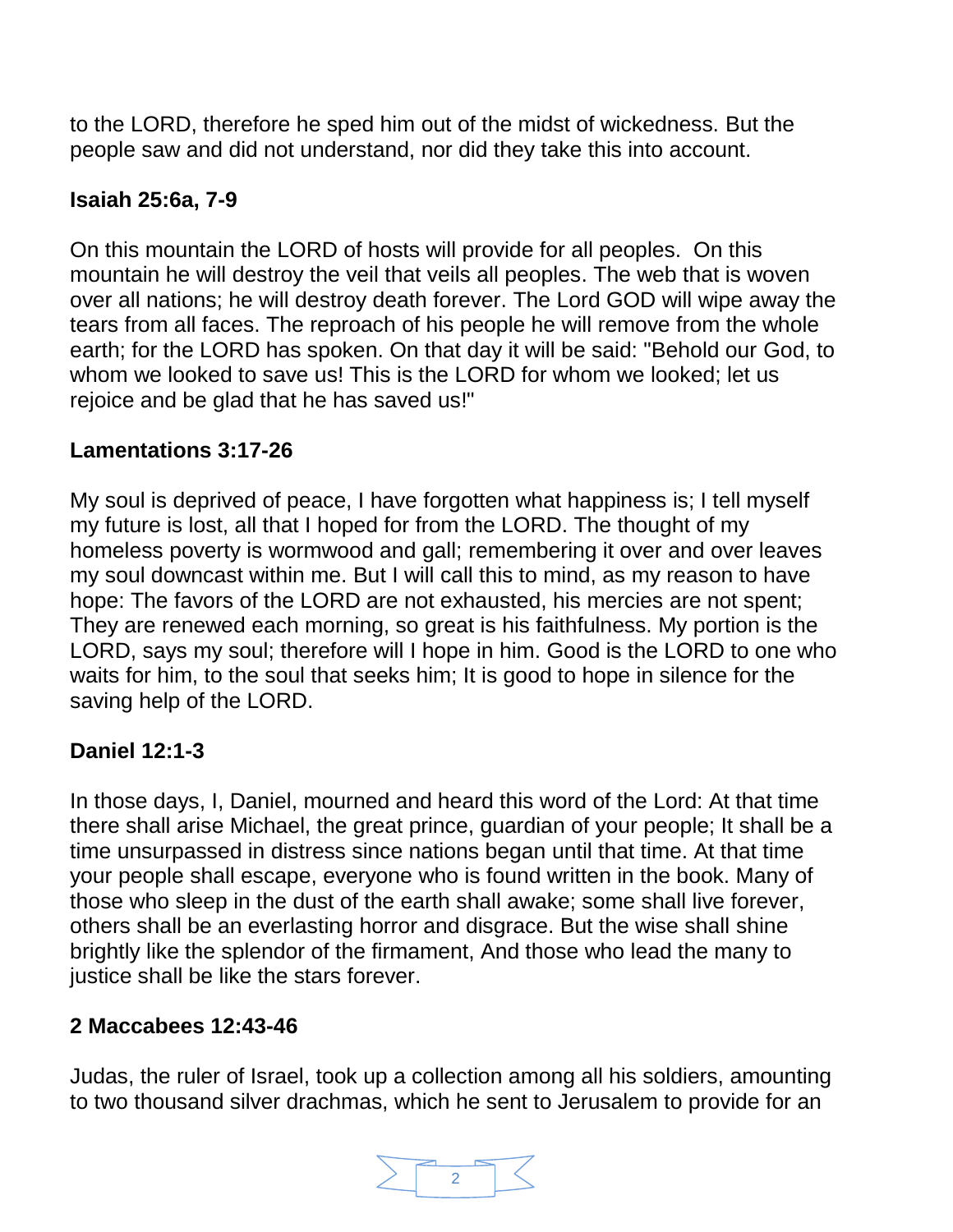to the LORD, therefore he sped him out of the midst of wickedness. But the people saw and did not understand, nor did they take this into account.

# **Isaiah 25:6a, 7-9**

On this mountain the LORD of hosts will provide for all peoples. On this mountain he will destroy the veil that veils all peoples. The web that is woven over all nations; he will destroy death forever. The Lord GOD will wipe away the tears from all faces. The reproach of his people he will remove from the whole earth; for the LORD has spoken. On that day it will be said: "Behold our God, to whom we looked to save us! This is the LORD for whom we looked; let us rejoice and be glad that he has saved us!"

## **Lamentations 3:17-26**

My soul is deprived of peace, I have forgotten what happiness is; I tell myself my future is lost, all that I hoped for from the LORD. The thought of my homeless poverty is wormwood and gall; remembering it over and over leaves my soul downcast within me. But I will call this to mind, as my reason to have hope: The favors of the LORD are not exhausted, his mercies are not spent; They are renewed each morning, so great is his faithfulness. My portion is the LORD, says my soul; therefore will I hope in him. Good is the LORD to one who waits for him, to the soul that seeks him; It is good to hope in silence for the saving help of the LORD.

# **Daniel 12:1-3**

In those days, I, Daniel, mourned and heard this word of the Lord: At that time there shall arise Michael, the great prince, guardian of your people; It shall be a time unsurpassed in distress since nations began until that time. At that time your people shall escape, everyone who is found written in the book. Many of those who sleep in the dust of the earth shall awake; some shall live forever, others shall be an everlasting horror and disgrace. But the wise shall shine brightly like the splendor of the firmament, And those who lead the many to justice shall be like the stars forever.

# **2 Maccabees 12:43-46**

Judas, the ruler of Israel, took up a collection among all his soldiers, amounting to two thousand silver drachmas, which he sent to Jerusalem to provide for an

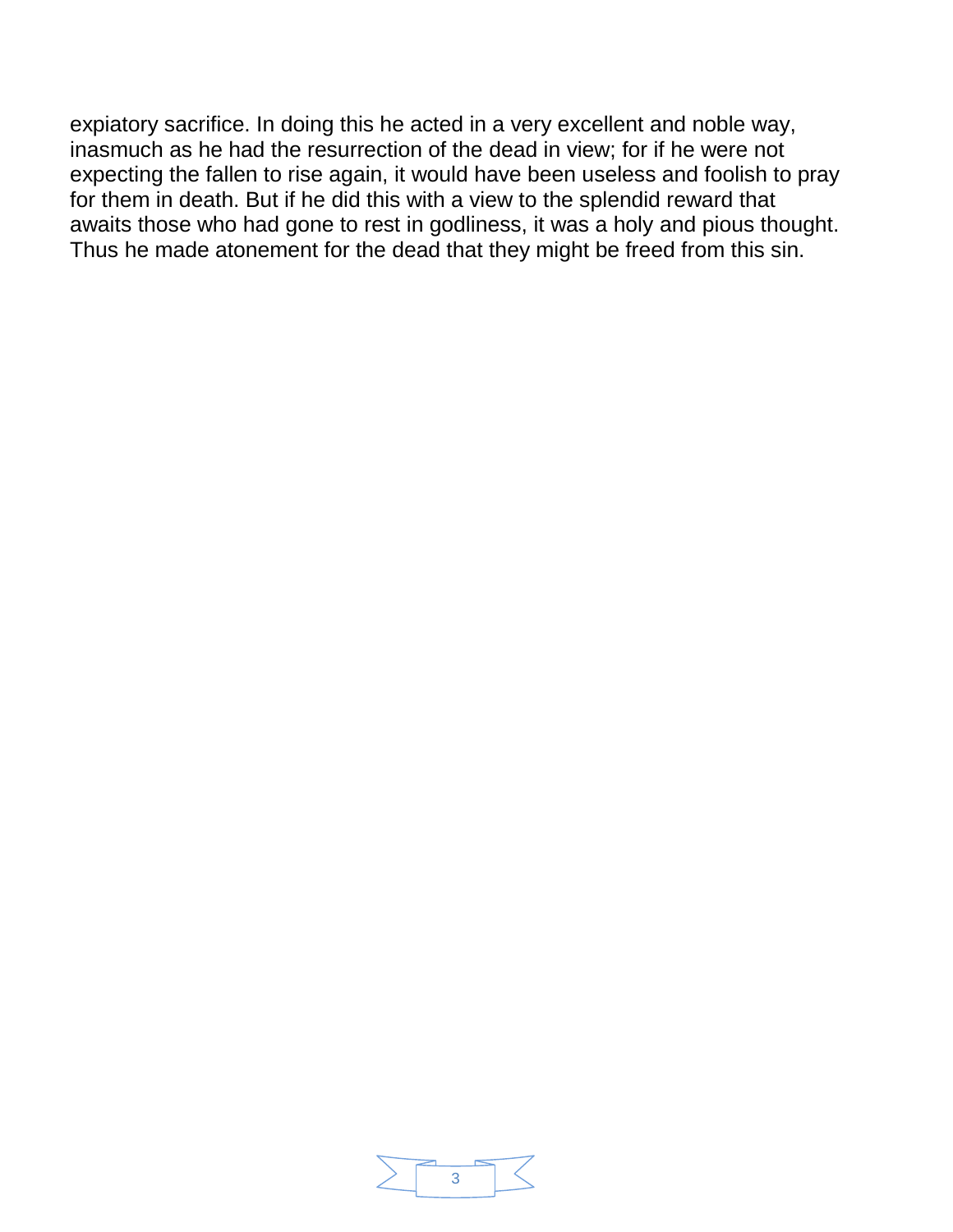expiatory sacrifice. In doing this he acted in a very excellent and noble way, inasmuch as he had the resurrection of the dead in view; for if he were not expecting the fallen to rise again, it would have been useless and foolish to pray for them in death. But if he did this with a view to the splendid reward that awaits those who had gone to rest in godliness, it was a holy and pious thought. Thus he made atonement for the dead that they might be freed from this sin.

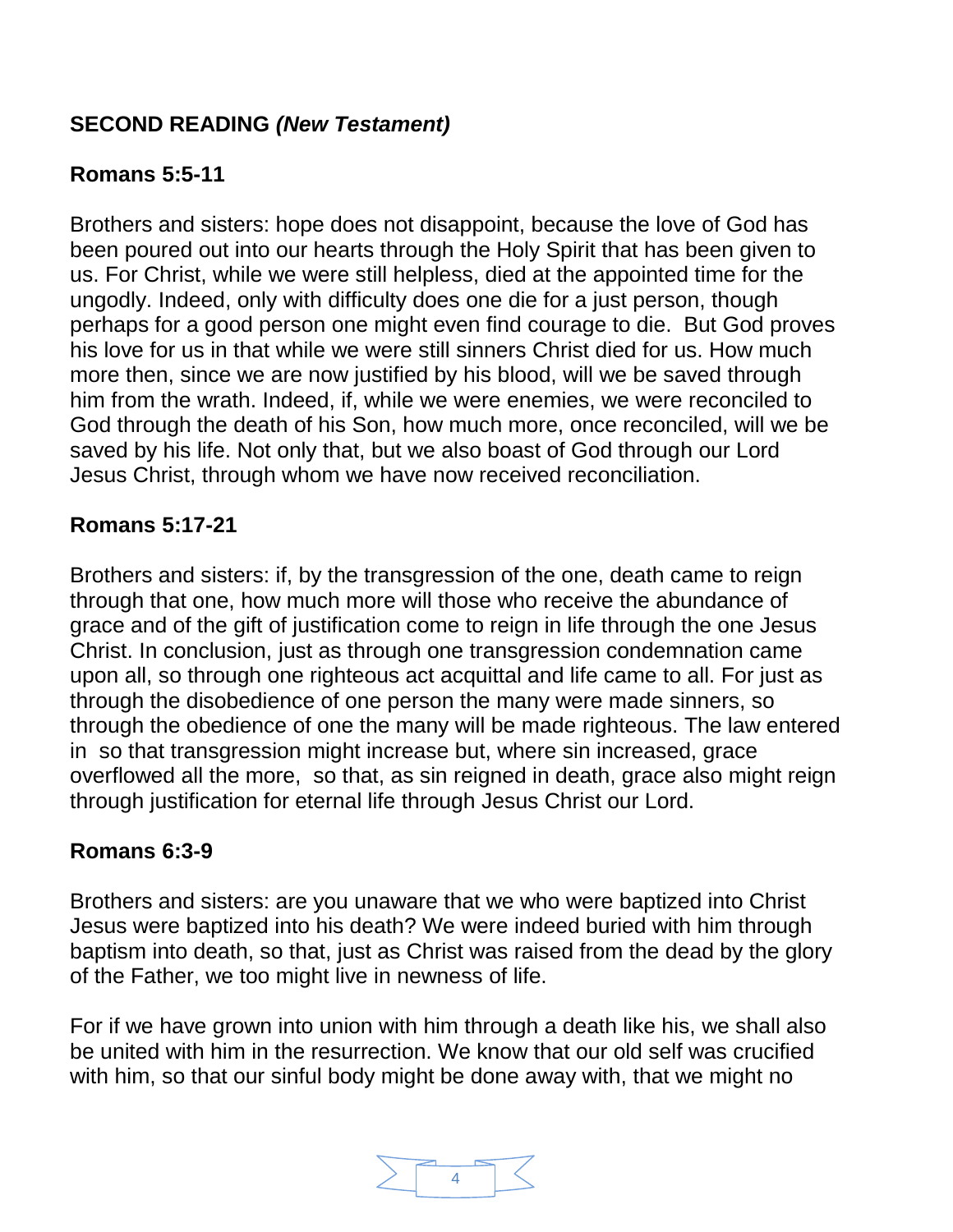## **SECOND READING** *(New Testament)*

# **Romans 5:5-11**

Brothers and sisters: hope does not disappoint, because the love of God has been poured out into our hearts through the Holy Spirit that has been given to us. For Christ, while we were still helpless, died at the appointed time for the ungodly. Indeed, only with difficulty does one die for a just person, though perhaps for a good person one might even find courage to die. But God proves his love for us in that while we were still sinners Christ died for us. How much more then, since we are now justified by his blood, will we be saved through him from the wrath. Indeed, if, while we were enemies, we were reconciled to God through the death of his Son, how much more, once reconciled, will we be saved by his life. Not only that, but we also boast of God through our Lord Jesus Christ, through whom we have now received reconciliation.

## **Romans 5:17-21**

Brothers and sisters: if, by the transgression of the one, death came to reign through that one, how much more will those who receive the abundance of grace and of the gift of justification come to reign in life through the one Jesus Christ. In conclusion, just as through one transgression condemnation came upon all, so through one righteous act acquittal and life came to all. For just as through the disobedience of one person the many were made sinners, so through the obedience of one the many will be made righteous. The law entered in so that transgression might increase but, where sin increased, grace overflowed all the more, so that, as sin reigned in death, grace also might reign through justification for eternal life through Jesus Christ our Lord.

#### **Romans 6:3-9**

Brothers and sisters: are you unaware that we who were baptized into Christ Jesus were baptized into his death? We were indeed buried with him through baptism into death, so that, just as Christ was raised from the dead by the glory of the Father, we too might live in newness of life.

For if we have grown into union with him through a death like his, we shall also be united with him in the resurrection. We know that our old self was crucified with him, so that our sinful body might be done away with, that we might no

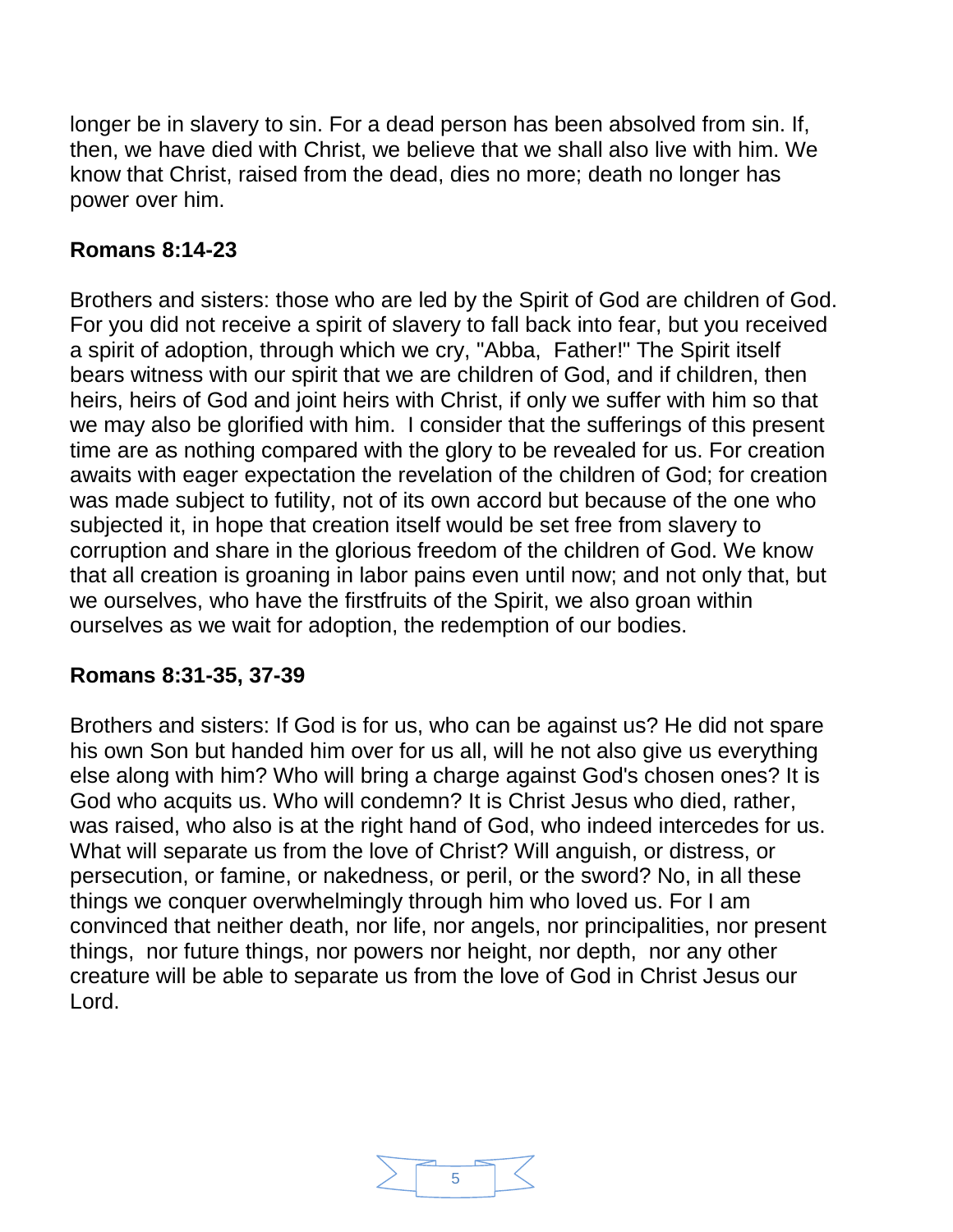longer be in slavery to sin. For a dead person has been absolved from sin. If, then, we have died with Christ, we believe that we shall also live with him. We know that Christ, raised from the dead, dies no more; death no longer has power over him.

# **Romans 8:14-23**

Brothers and sisters: those who are led by the Spirit of God are children of God. For you did not receive a spirit of slavery to fall back into fear, but you received a spirit of adoption, through which we cry, "Abba, Father!" The Spirit itself bears witness with our spirit that we are children of God, and if children, then heirs, heirs of God and joint heirs with Christ, if only we suffer with him so that we may also be glorified with him. I consider that the sufferings of this present time are as nothing compared with the glory to be revealed for us. For creation awaits with eager expectation the revelation of the children of God; for creation was made subject to futility, not of its own accord but because of the one who subjected it, in hope that creation itself would be set free from slavery to corruption and share in the glorious freedom of the children of God. We know that all creation is groaning in labor pains even until now; and not only that, but we ourselves, who have the firstfruits of the Spirit, we also groan within ourselves as we wait for adoption, the redemption of our bodies.

# **Romans 8:31-35, 37-39**

Brothers and sisters: If God is for us, who can be against us? He did not spare his own Son but handed him over for us all, will he not also give us everything else along with him? Who will bring a charge against God's chosen ones? It is God who acquits us. Who will condemn? It is Christ Jesus who died, rather, was raised, who also is at the right hand of God, who indeed intercedes for us. What will separate us from the love of Christ? Will anguish, or distress, or persecution, or famine, or nakedness, or peril, or the sword? No, in all these things we conquer overwhelmingly through him who loved us. For I am convinced that neither death, nor life, nor angels, nor principalities, nor present things, nor future things, nor powers nor height, nor depth, nor any other creature will be able to separate us from the love of God in Christ Jesus our Lord.

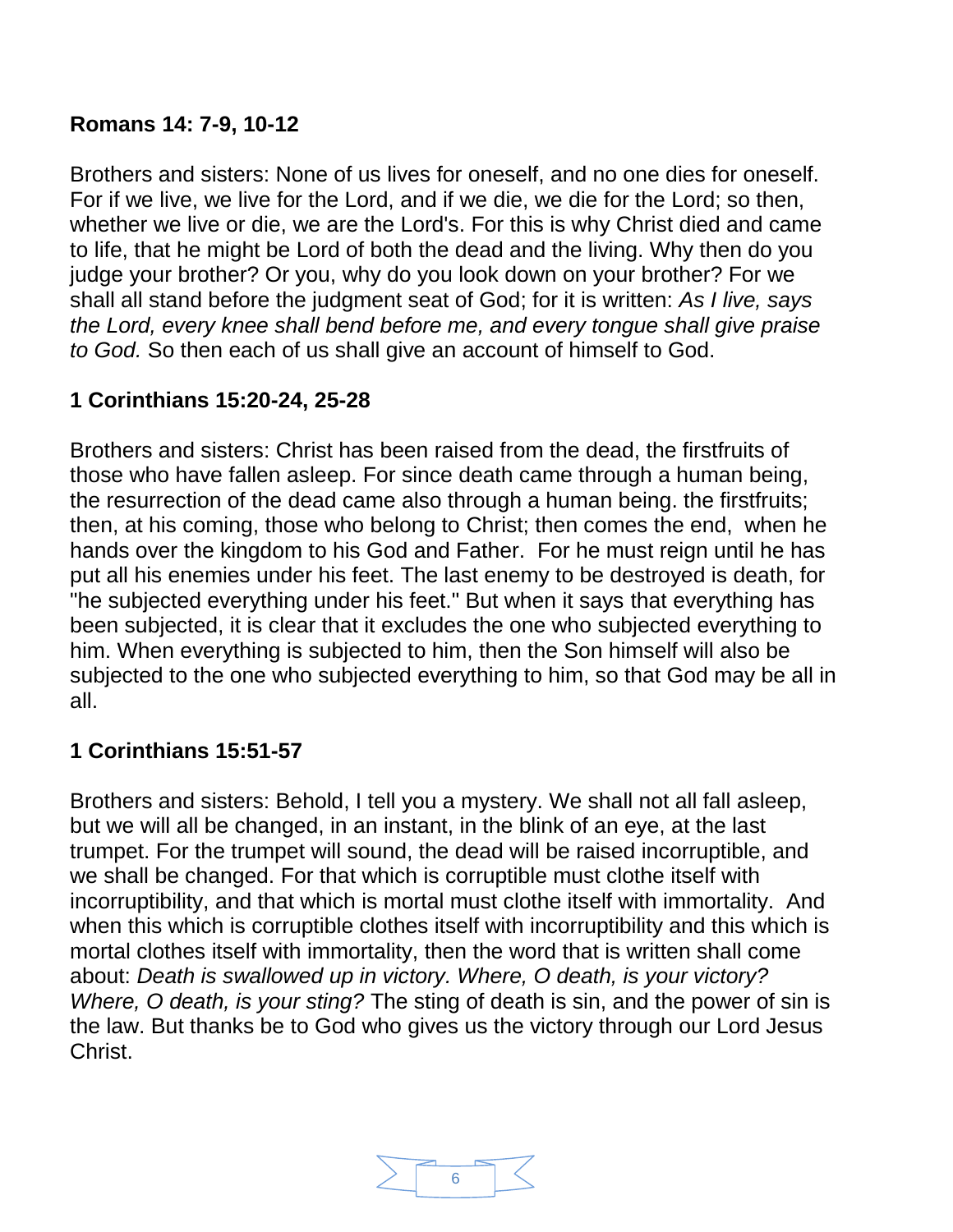#### **Romans 14: 7-9, 10-12**

Brothers and sisters: None of us lives for oneself, and no one dies for oneself. For if we live, we live for the Lord, and if we die, we die for the Lord; so then, whether we live or die, we are the Lord's. For this is why Christ died and came to life, that he might be Lord of both the dead and the living. Why then do you judge your brother? Or you, why do you look down on your brother? For we shall all stand before the judgment seat of God; for it is written: *As I live, says the Lord, every knee shall bend before me, and every tongue shall give praise to God.* So then each of us shall give an account of himself to God.

## **1 Corinthians 15:20-24, 25-28**

Brothers and sisters: Christ has been raised from the dead, the firstfruits of those who have fallen asleep. For since death came through a human being, the resurrection of the dead came also through a human being. the firstfruits; then, at his coming, those who belong to Christ; then comes the end, when he hands over the kingdom to his God and Father. For he must reign until he has put all his enemies under his feet. The last enemy to be destroyed is death, for "he subjected everything under his feet." But when it says that everything has been subjected, it is clear that it excludes the one who subjected everything to him. When everything is subjected to him, then the Son himself will also be subjected to the one who subjected everything to him, so that God may be all in all.

## **1 Corinthians 15:51-57**

Brothers and sisters: Behold, I tell you a mystery. We shall not all fall asleep, but we will all be changed, in an instant, in the blink of an eye, at the last trumpet. For the trumpet will sound, the dead will be raised incorruptible, and we shall be changed. For that which is corruptible must clothe itself with incorruptibility, and that which is mortal must clothe itself with immortality. And when this which is corruptible clothes itself with incorruptibility and this which is mortal clothes itself with immortality, then the word that is written shall come about: *Death is swallowed up in victory. Where, O death, is your victory? Where, O death, is your sting?* The sting of death is sin, and the power of sin is the law. But thanks be to God who gives us the victory through our Lord Jesus Christ.

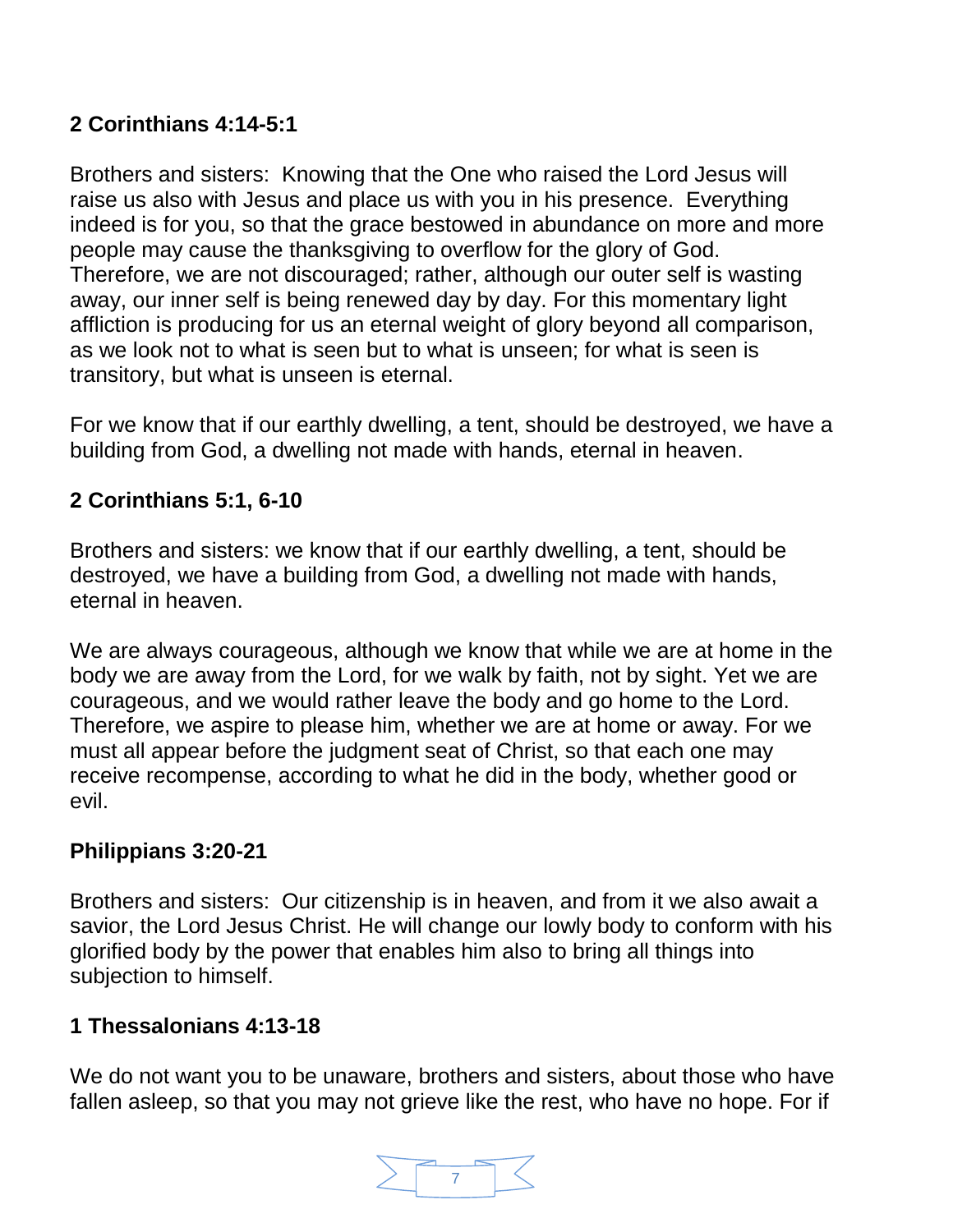## **2 Corinthians 4:14-5:1**

Brothers and sisters: Knowing that the One who raised the Lord Jesus will raise us also with Jesus and place us with you in his presence. Everything indeed is for you, so that the grace bestowed in abundance on more and more people may cause the thanksgiving to overflow for the glory of God. Therefore, we are not discouraged; rather, although our outer self is wasting away, our inner self is being renewed day by day. For this momentary light affliction is producing for us an eternal weight of glory beyond all comparison, as we look not to what is seen but to what is unseen; for what is seen is transitory, but what is unseen is eternal.

For we know that if our earthly dwelling, a tent, should be destroyed, we have a building from God, a dwelling not made with hands, eternal in heaven.

# **2 Corinthians 5:1, 6-10**

Brothers and sisters: we know that if our earthly dwelling, a tent, should be destroyed, we have a building from God, a dwelling not made with hands, eternal in heaven.

We are always courageous, although we know that while we are at home in the body we are away from the Lord, for we walk by faith, not by sight. Yet we are courageous, and we would rather leave the body and go home to the Lord. Therefore, we aspire to please him, whether we are at home or away. For we must all appear before the judgment seat of Christ, so that each one may receive recompense, according to what he did in the body, whether good or evil.

# **Philippians 3:20-21**

Brothers and sisters: Our citizenship is in heaven, and from it we also await a savior, the Lord Jesus Christ. He will change our lowly body to conform with his glorified body by the power that enables him also to bring all things into subjection to himself.

# **1 Thessalonians 4:13-18**

We do not want you to be unaware, brothers and sisters, about those who have fallen asleep, so that you may not grieve like the rest, who have no hope. For if

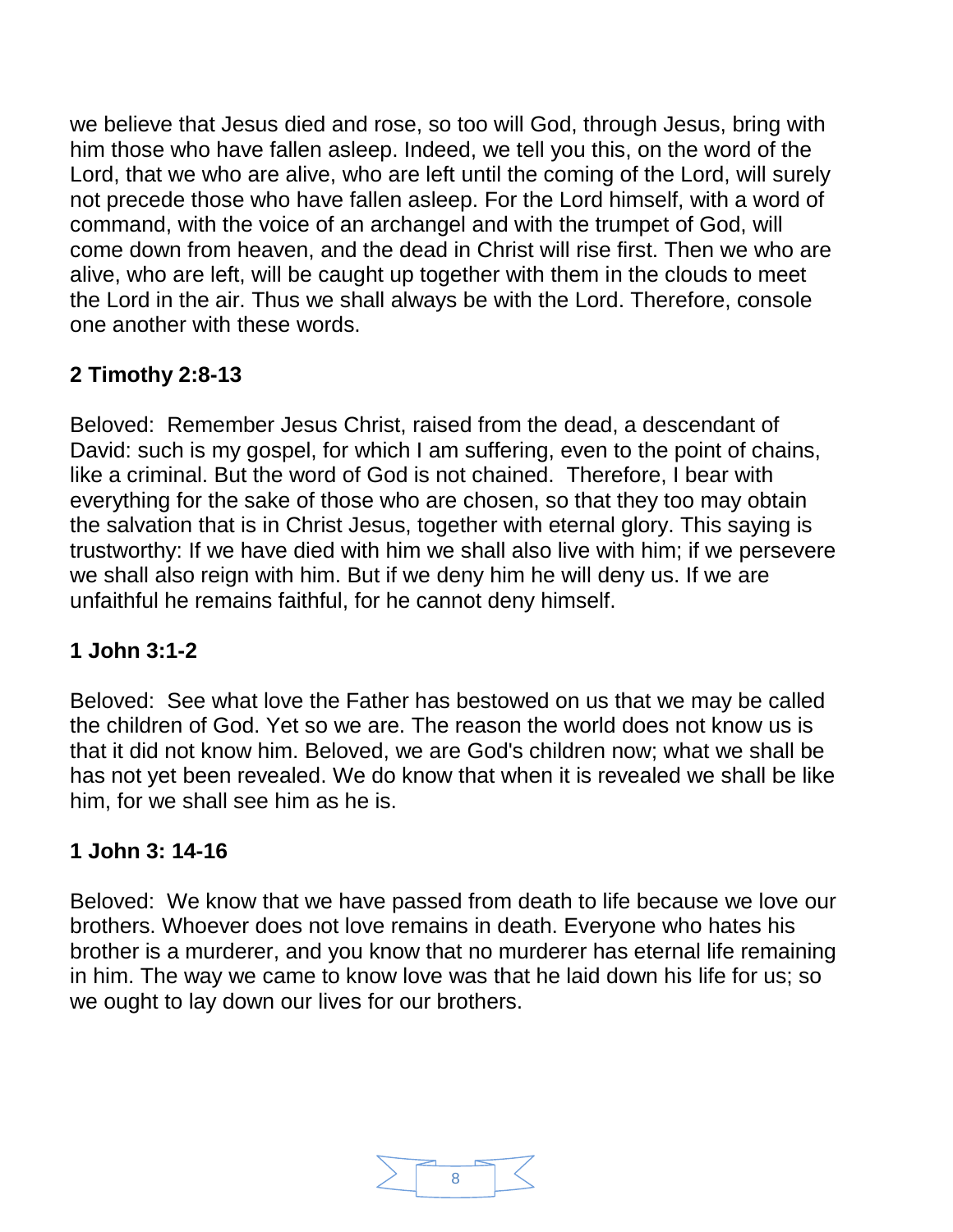we believe that Jesus died and rose, so too will God, through Jesus, bring with him those who have fallen asleep. Indeed, we tell you this, on the word of the Lord, that we who are alive, who are left until the coming of the Lord, will surely not precede those who have fallen asleep. For the Lord himself, with a word of command, with the voice of an archangel and with the trumpet of God, will come down from heaven, and the dead in Christ will rise first. Then we who are alive, who are left, will be caught up together with them in the clouds to meet the Lord in the air. Thus we shall always be with the Lord. Therefore, console one another with these words.

# **2 Timothy 2:8-13**

Beloved: Remember Jesus Christ, raised from the dead, a descendant of David: such is my gospel, for which I am suffering, even to the point of chains, like a criminal. But the word of God is not chained. Therefore, I bear with everything for the sake of those who are chosen, so that they too may obtain the salvation that is in Christ Jesus, together with eternal glory. This saying is trustworthy: If we have died with him we shall also live with him; if we persevere we shall also reign with him. But if we deny him he will deny us. If we are unfaithful he remains faithful, for he cannot deny himself.

## **1 John 3:1-2**

Beloved: See what love the Father has bestowed on us that we may be called the children of God. Yet so we are. The reason the world does not know us is that it did not know him. Beloved, we are God's children now; what we shall be has not yet been revealed. We do know that when it is revealed we shall be like him, for we shall see him as he is.

# **1 John 3: 14-16**

Beloved: We know that we have passed from death to life because we love our brothers. Whoever does not love remains in death. Everyone who hates his brother is a murderer, and you know that no murderer has eternal life remaining in him. The way we came to know love was that he laid down his life for us; so we ought to lay down our lives for our brothers.

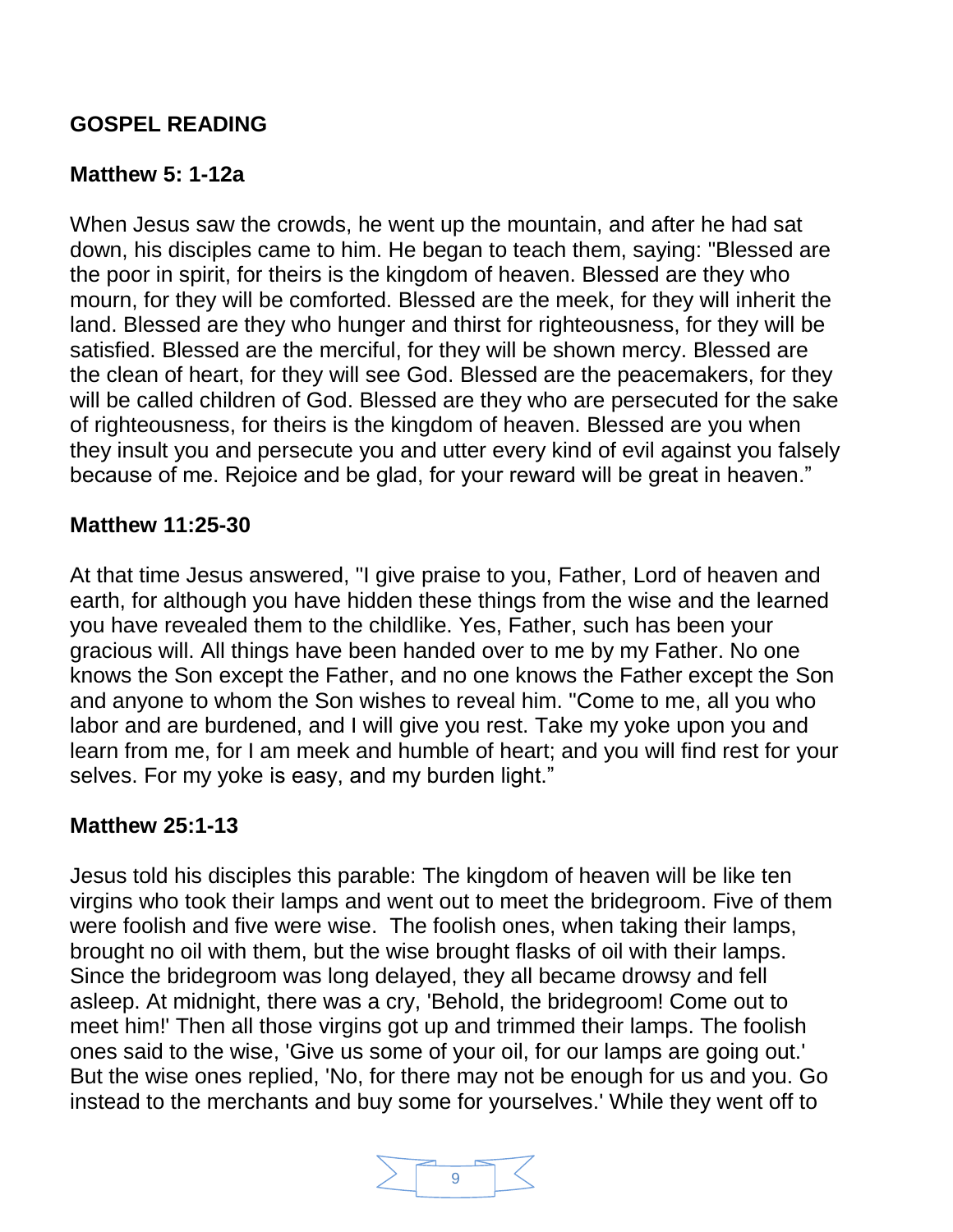## **GOSPEL READING**

## **Matthew 5: 1-12a**

When Jesus saw the crowds, he went up the mountain, and after he had sat down, his disciples came to him. He began to teach them, saying: "Blessed are the poor in spirit, for theirs is the kingdom of heaven. Blessed are they who mourn, for they will be comforted. Blessed are the meek, for they will inherit the land. Blessed are they who hunger and thirst for righteousness, for they will be satisfied. Blessed are the merciful, for they will be shown mercy. Blessed are the clean of heart, for they will see God. Blessed are the peacemakers, for they will be called children of God. Blessed are they who are persecuted for the sake of righteousness, for theirs is the kingdom of heaven. Blessed are you when they insult you and persecute you and utter every kind of evil against you falsely because of me. Rejoice and be glad, for your reward will be great in heaven."

#### **Matthew 11:25-30**

At that time Jesus answered, "I give praise to you, Father, Lord of heaven and earth, for although you have hidden these things from the wise and the learned you have revealed them to the childlike. Yes, Father, such has been your gracious will. All things have been handed over to me by my Father. No one knows the Son except the Father, and no one knows the Father except the Son and anyone to whom the Son wishes to reveal him. "Come to me, all you who labor and are burdened, and I will give you rest. Take my yoke upon you and learn from me, for I am meek and humble of heart; and you will find rest for your selves. For my yoke is easy, and my burden light."

#### **Matthew 25:1-13**

Jesus told his disciples this parable: The kingdom of heaven will be like ten virgins who took their lamps and went out to meet the bridegroom. Five of them were foolish and five were wise. The foolish ones, when taking their lamps, brought no oil with them, but the wise brought flasks of oil with their lamps. Since the bridegroom was long delayed, they all became drowsy and fell asleep. At midnight, there was a cry, 'Behold, the bridegroom! Come out to meet him!' Then all those virgins got up and trimmed their lamps. The foolish ones said to the wise, 'Give us some of your oil, for our lamps are going out.' But the wise ones replied, 'No, for there may not be enough for us and you. Go instead to the merchants and buy some for yourselves.' While they went off to

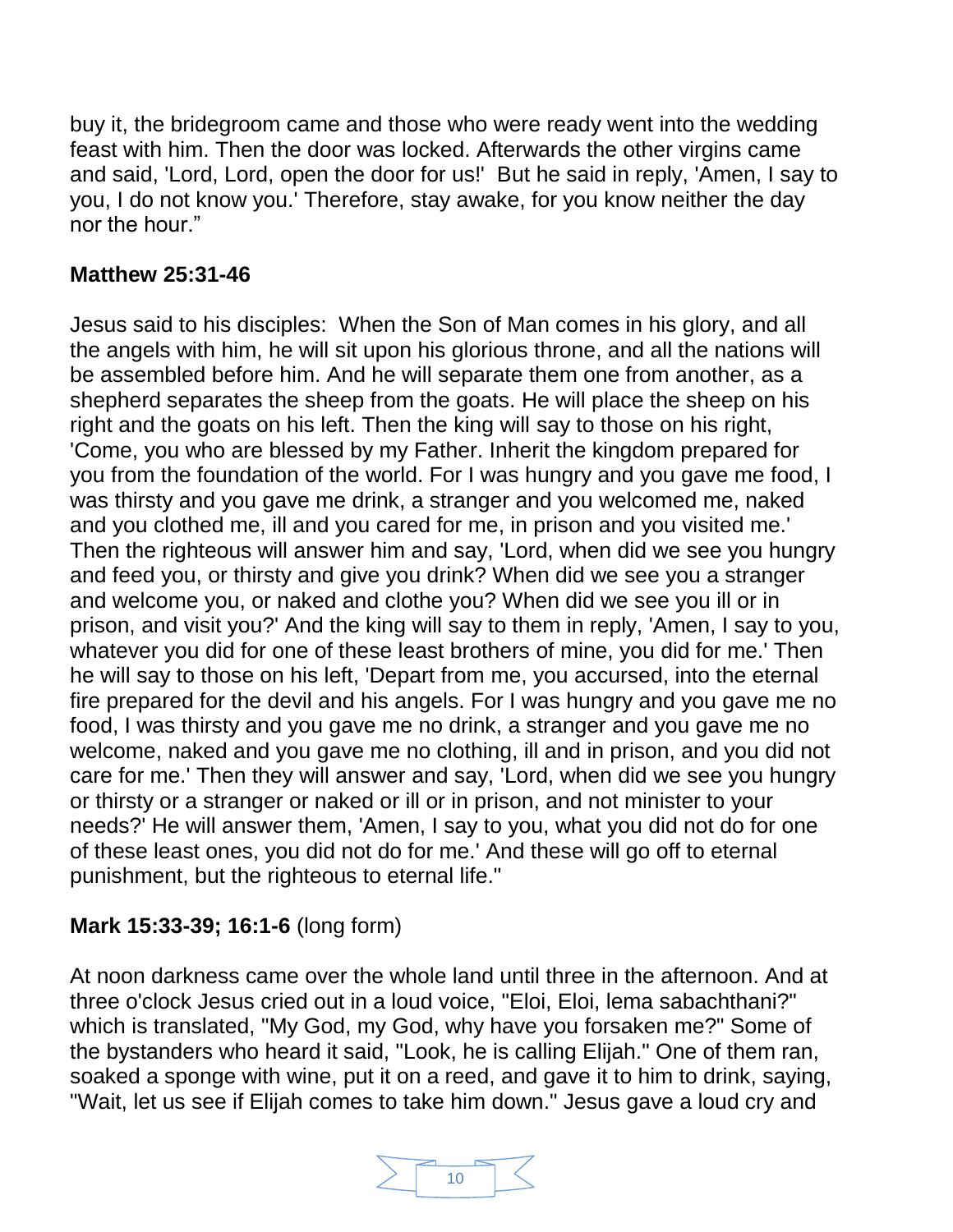buy it, the bridegroom came and those who were ready went into the wedding feast with him. Then the door was locked. Afterwards the other virgins came and said, 'Lord, Lord, open the door for us!' But he said in reply, 'Amen, I say to you, I do not know you.' Therefore, stay awake, for you know neither the day nor the hour."

## **Matthew 25:31-46**

Jesus said to his disciples: When the Son of Man comes in his glory, and all the angels with him, he will sit upon his glorious throne, and all the nations will be assembled before him. And he will separate them one from another, as a shepherd separates the sheep from the goats. He will place the sheep on his right and the goats on his left. Then the king will say to those on his right, 'Come, you who are blessed by my Father. Inherit the kingdom prepared for you from the foundation of the world. For I was hungry and you gave me food, I was thirsty and you gave me drink, a stranger and you welcomed me, naked and you clothed me, ill and you cared for me, in prison and you visited me.' Then the righteous will answer him and say, 'Lord, when did we see you hungry and feed you, or thirsty and give you drink? When did we see you a stranger and welcome you, or naked and clothe you? When did we see you ill or in prison, and visit you?' And the king will say to them in reply, 'Amen, I say to you, whatever you did for one of these least brothers of mine, you did for me.' Then he will say to those on his left, 'Depart from me, you accursed, into the eternal fire prepared for the devil and his angels. For I was hungry and you gave me no food, I was thirsty and you gave me no drink, a stranger and you gave me no welcome, naked and you gave me no clothing, ill and in prison, and you did not care for me.' Then they will answer and say, 'Lord, when did we see you hungry or thirsty or a stranger or naked or ill or in prison, and not minister to your needs?' He will answer them, 'Amen, I say to you, what you did not do for one of these least ones, you did not do for me.' And these will go off to eternal punishment, but the righteous to eternal life."

# **Mark 15:33-39; 16:1-6** (long form)

At noon darkness came over the whole land until three in the afternoon. And at three o'clock Jesus cried out in a loud voice, "Eloi, Eloi, lema sabachthani?" which is translated, "My God, my God, why have you forsaken me?" Some of the bystanders who heard it said, "Look, he is calling Elijah." One of them ran, soaked a sponge with wine, put it on a reed, and gave it to him to drink, saying, "Wait, let us see if Elijah comes to take him down." Jesus gave a loud cry and

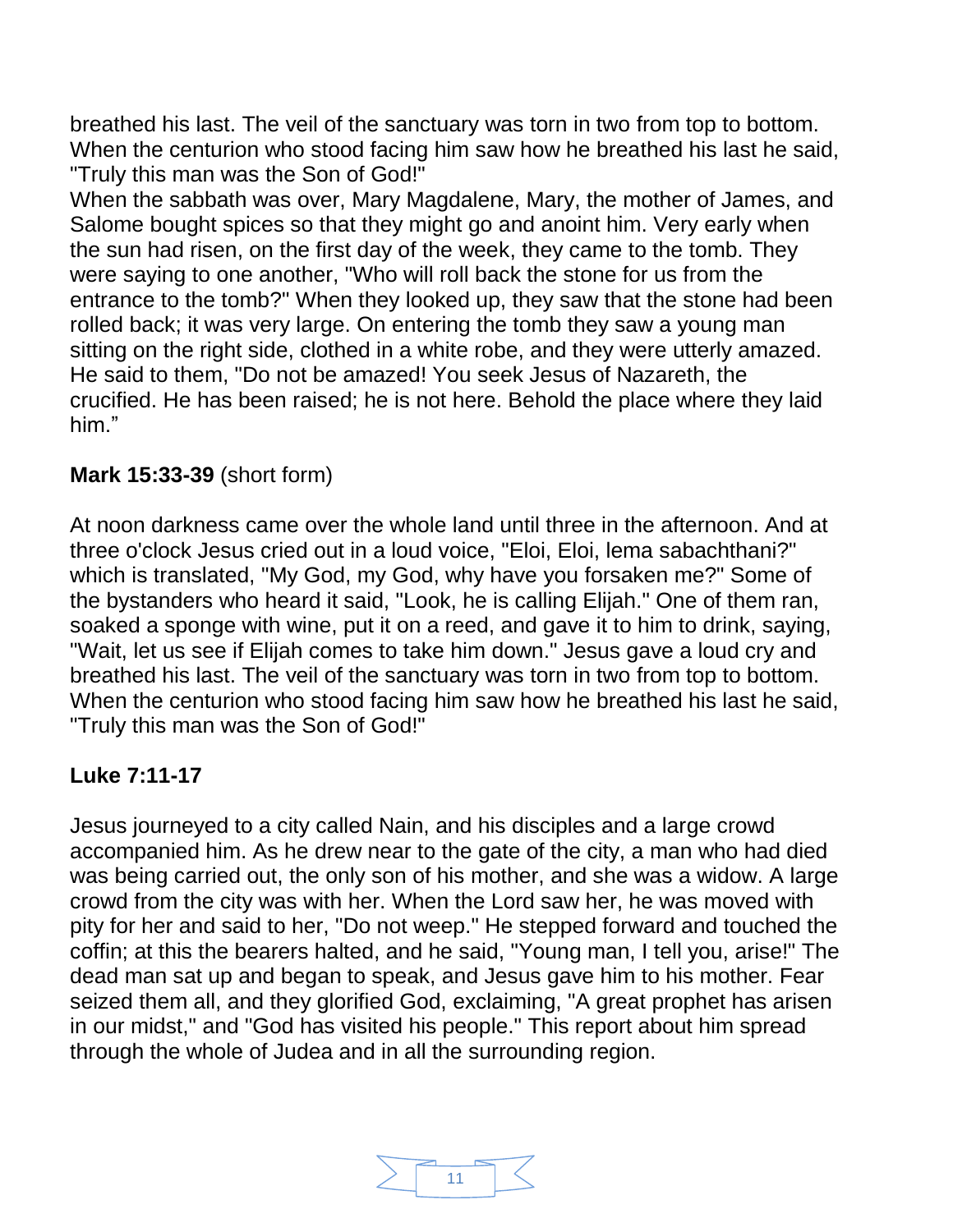breathed his last. The veil of the sanctuary was torn in two from top to bottom. When the centurion who stood facing him saw how he breathed his last he said, "Truly this man was the Son of God!"

When the sabbath was over, Mary Magdalene, Mary, the mother of James, and Salome bought spices so that they might go and anoint him. Very early when the sun had risen, on the first day of the week, they came to the tomb. They were saying to one another, "Who will roll back the stone for us from the entrance to the tomb?" When they looked up, they saw that the stone had been rolled back; it was very large. On entering the tomb they saw a young man sitting on the right side, clothed in a white robe, and they were utterly amazed. He said to them, "Do not be amazed! You seek Jesus of Nazareth, the crucified. He has been raised; he is not here. Behold the place where they laid him."

## **Mark 15:33-39** (short form)

At noon darkness came over the whole land until three in the afternoon. And at three o'clock Jesus cried out in a loud voice, "Eloi, Eloi, lema sabachthani?" which is translated, "My God, my God, why have you forsaken me?" Some of the bystanders who heard it said, "Look, he is calling Elijah." One of them ran, soaked a sponge with wine, put it on a reed, and gave it to him to drink, saying, "Wait, let us see if Elijah comes to take him down." Jesus gave a loud cry and breathed his last. The veil of the sanctuary was torn in two from top to bottom. When the centurion who stood facing him saw how he breathed his last he said, "Truly this man was the Son of God!"

## **Luke 7:11-17**

Jesus journeyed to a city called Nain, and his disciples and a large crowd accompanied him. As he drew near to the gate of the city, a man who had died was being carried out, the only son of his mother, and she was a widow. A large crowd from the city was with her. When the Lord saw her, he was moved with pity for her and said to her, "Do not weep." He stepped forward and touched the coffin; at this the bearers halted, and he said, "Young man, I tell you, arise!" The dead man sat up and began to speak, and Jesus gave him to his mother. Fear seized them all, and they glorified God, exclaiming, "A great prophet has arisen in our midst," and "God has visited his people." This report about him spread through the whole of Judea and in all the surrounding region.

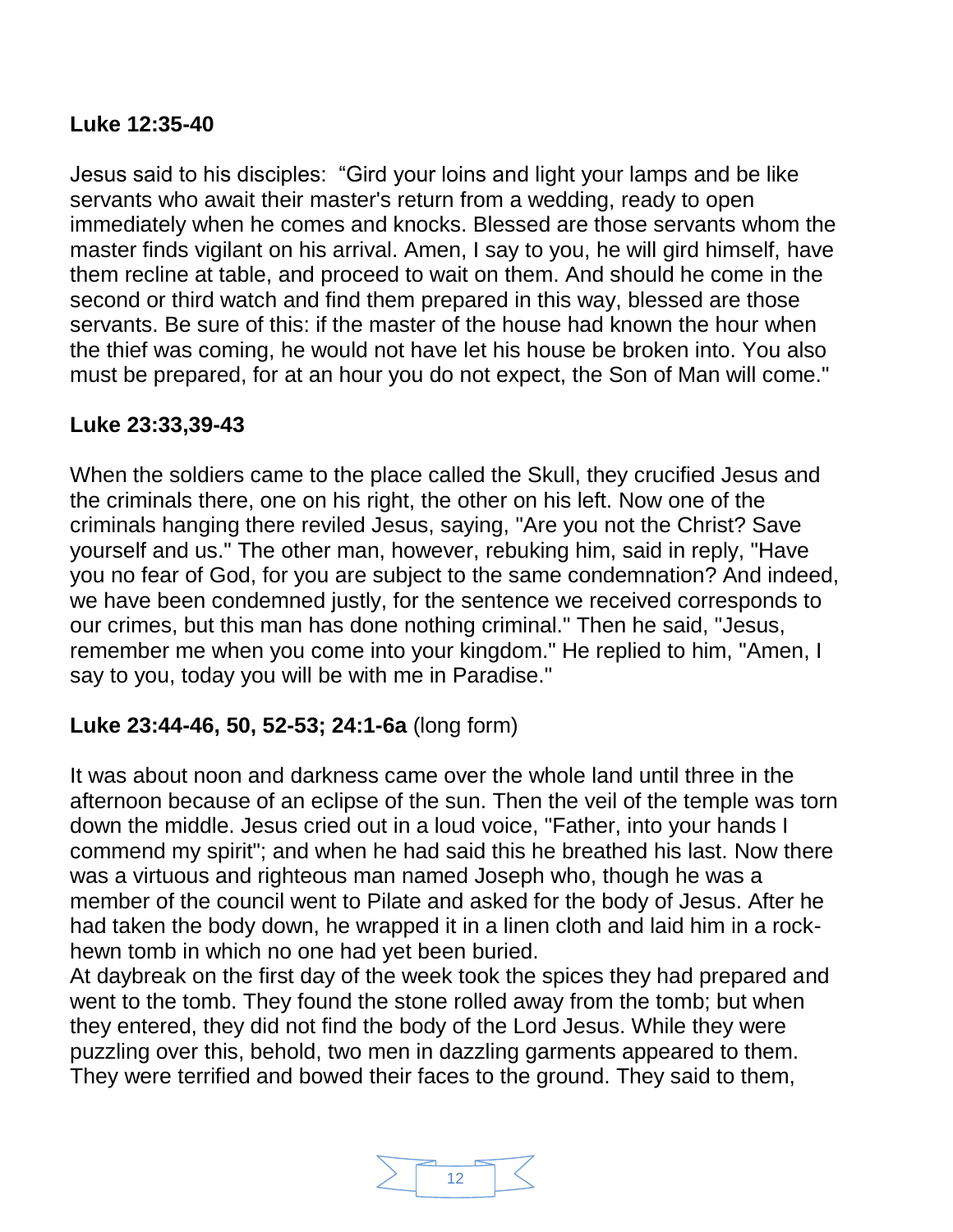#### **Luke 12:35-40**

Jesus said to his disciples: "Gird your loins and light your lamps and be like servants who await their master's return from a wedding, ready to open immediately when he comes and knocks. Blessed are those servants whom the master finds vigilant on his arrival. Amen, I say to you, he will gird himself, have them recline at table, and proceed to wait on them. And should he come in the second or third watch and find them prepared in this way, blessed are those servants. Be sure of this: if the master of the house had known the hour when the thief was coming, he would not have let his house be broken into. You also must be prepared, for at an hour you do not expect, the Son of Man will come."

#### **Luke 23:33,39-43**

When the soldiers came to the place called the Skull, they crucified Jesus and the criminals there, one on his right, the other on his left. Now one of the criminals hanging there reviled Jesus, saying, "Are you not the Christ? Save yourself and us." The other man, however, rebuking him, said in reply, "Have you no fear of God, for you are subject to the same condemnation? And indeed, we have been condemned justly, for the sentence we received corresponds to our crimes, but this man has done nothing criminal." Then he said, "Jesus, remember me when you come into your kingdom." He replied to him, "Amen, I say to you, today you will be with me in Paradise."

## **Luke 23:44-46, 50, 52-53; 24:1-6a** (long form)

It was about noon and darkness came over the whole land until three in the afternoon because of an eclipse of the sun. Then the veil of the temple was torn down the middle. Jesus cried out in a loud voice, "Father, into your hands I commend my spirit"; and when he had said this he breathed his last. Now there was a virtuous and righteous man named Joseph who, though he was a member of the council went to Pilate and asked for the body of Jesus. After he had taken the body down, he wrapped it in a linen cloth and laid him in a rockhewn tomb in which no one had yet been buried.

At daybreak on the first day of the week took the spices they had prepared and went to the tomb. They found the stone rolled away from the tomb; but when they entered, they did not find the body of the Lord Jesus. While they were puzzling over this, behold, two men in dazzling garments appeared to them. They were terrified and bowed their faces to the ground. They said to them,

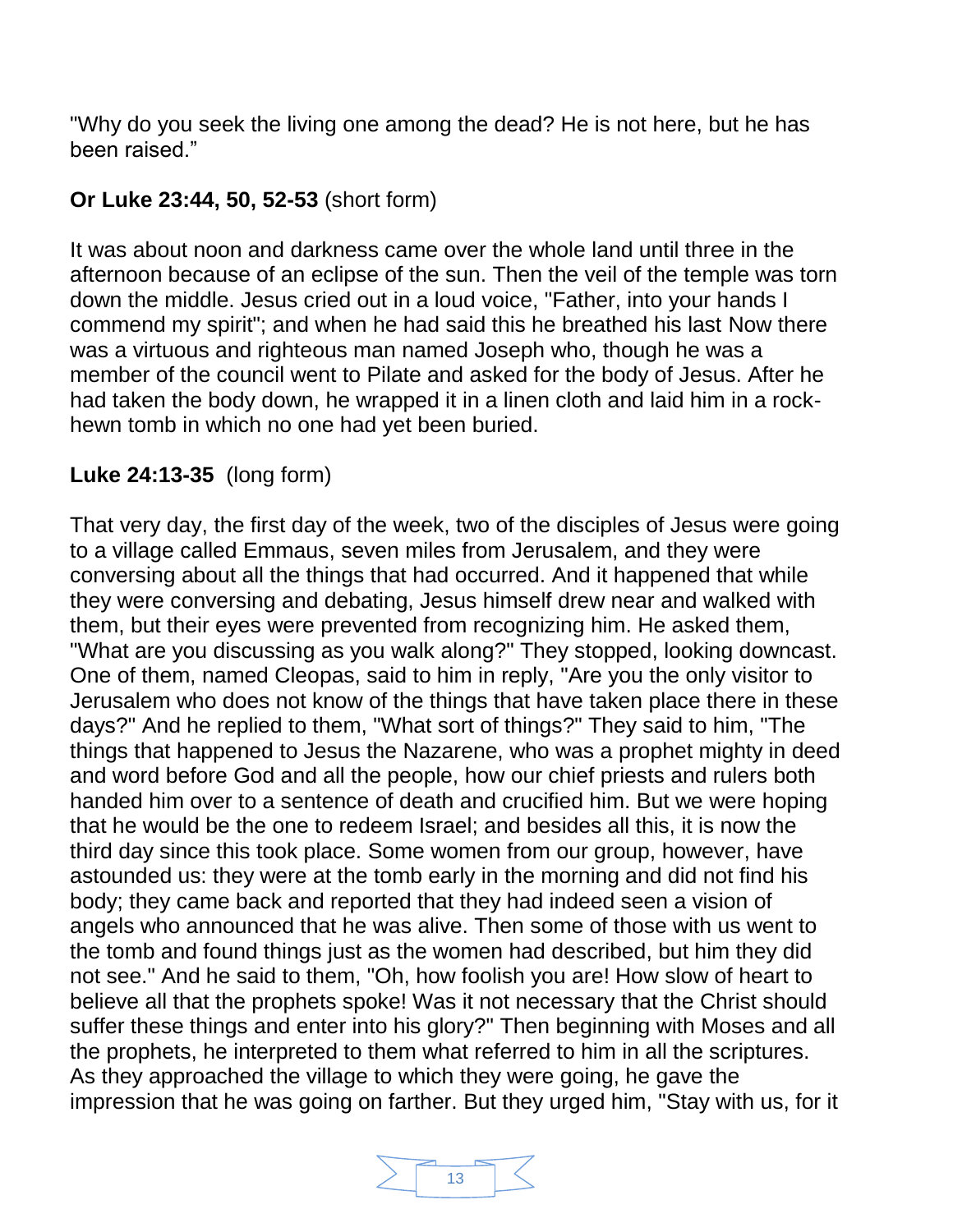"Why do you seek the living one among the dead? He is not here, but he has been raised."

## **Or Luke 23:44, 50, 52-53** (short form)

It was about noon and darkness came over the whole land until three in the afternoon because of an eclipse of the sun. Then the veil of the temple was torn down the middle. Jesus cried out in a loud voice, "Father, into your hands I commend my spirit"; and when he had said this he breathed his last Now there was a virtuous and righteous man named Joseph who, though he was a member of the council went to Pilate and asked for the body of Jesus. After he had taken the body down, he wrapped it in a linen cloth and laid him in a rockhewn tomb in which no one had yet been buried.

## **Luke 24:13-35** (long form)

That very day, the first day of the week, two of the disciples of Jesus were going to a village called Emmaus, seven miles from Jerusalem, and they were conversing about all the things that had occurred. And it happened that while they were conversing and debating, Jesus himself drew near and walked with them, but their eyes were prevented from recognizing him. He asked them, "What are you discussing as you walk along?" They stopped, looking downcast. One of them, named Cleopas, said to him in reply, "Are you the only visitor to Jerusalem who does not know of the things that have taken place there in these days?" And he replied to them, "What sort of things?" They said to him, "The things that happened to Jesus the Nazarene, who was a prophet mighty in deed and word before God and all the people, how our chief priests and rulers both handed him over to a sentence of death and crucified him. But we were hoping that he would be the one to redeem Israel; and besides all this, it is now the third day since this took place. Some women from our group, however, have astounded us: they were at the tomb early in the morning and did not find his body; they came back and reported that they had indeed seen a vision of angels who announced that he was alive. Then some of those with us went to the tomb and found things just as the women had described, but him they did not see." And he said to them, "Oh, how foolish you are! How slow of heart to believe all that the prophets spoke! Was it not necessary that the Christ should suffer these things and enter into his glory?" Then beginning with Moses and all the prophets, he interpreted to them what referred to him in all the scriptures. As they approached the village to which they were going, he gave the impression that he was going on farther. But they urged him, "Stay with us, for it

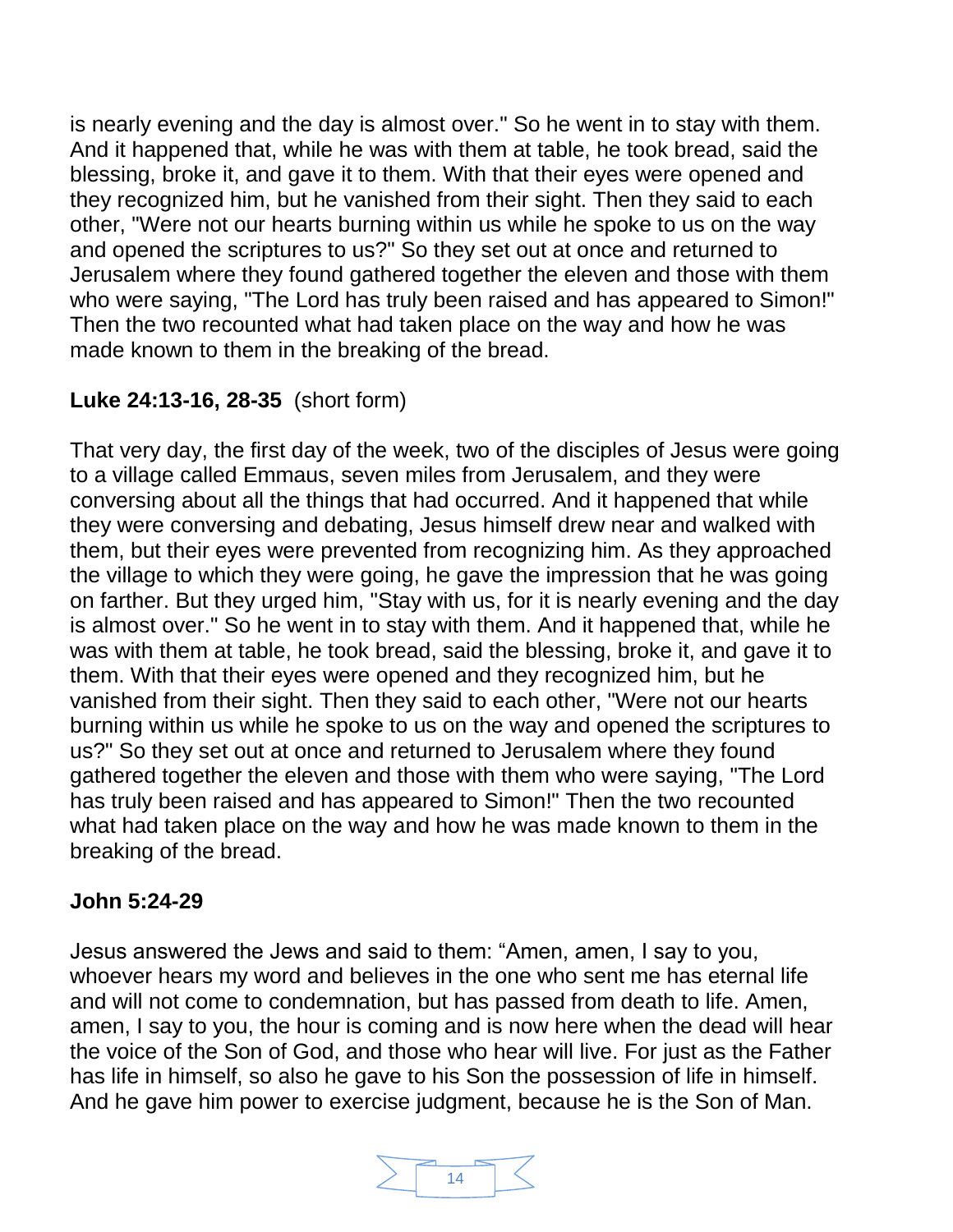is nearly evening and the day is almost over." So he went in to stay with them. And it happened that, while he was with them at table, he took bread, said the blessing, broke it, and gave it to them. With that their eyes were opened and they recognized him, but he vanished from their sight. Then they said to each other, "Were not our hearts burning within us while he spoke to us on the way and opened the scriptures to us?" So they set out at once and returned to Jerusalem where they found gathered together the eleven and those with them who were saying, "The Lord has truly been raised and has appeared to Simon!" Then the two recounted what had taken place on the way and how he was made known to them in the breaking of the bread.

# **Luke 24:13-16, 28-35** (short form)

That very day, the first day of the week, two of the disciples of Jesus were going to a village called Emmaus, seven miles from Jerusalem, and they were conversing about all the things that had occurred. And it happened that while they were conversing and debating, Jesus himself drew near and walked with them, but their eyes were prevented from recognizing him. As they approached the village to which they were going, he gave the impression that he was going on farther. But they urged him, "Stay with us, for it is nearly evening and the day is almost over." So he went in to stay with them. And it happened that, while he was with them at table, he took bread, said the blessing, broke it, and gave it to them. With that their eyes were opened and they recognized him, but he vanished from their sight. Then they said to each other, "Were not our hearts burning within us while he spoke to us on the way and opened the scriptures to us?" So they set out at once and returned to Jerusalem where they found gathered together the eleven and those with them who were saying, "The Lord has truly been raised and has appeared to Simon!" Then the two recounted what had taken place on the way and how he was made known to them in the breaking of the bread.

#### **John 5:24-29**

Jesus answered the Jews and said to them: "Amen, amen, I say to you, whoever hears my word and believes in the one who sent me has eternal life and will not come to condemnation, but has passed from death to life. Amen, amen, I say to you, the hour is coming and is now here when the dead will hear the voice of the Son of God, and those who hear will live. For just as the Father has life in himself, so also he gave to his Son the possession of life in himself. And he gave him power to exercise judgment, because he is the Son of Man.

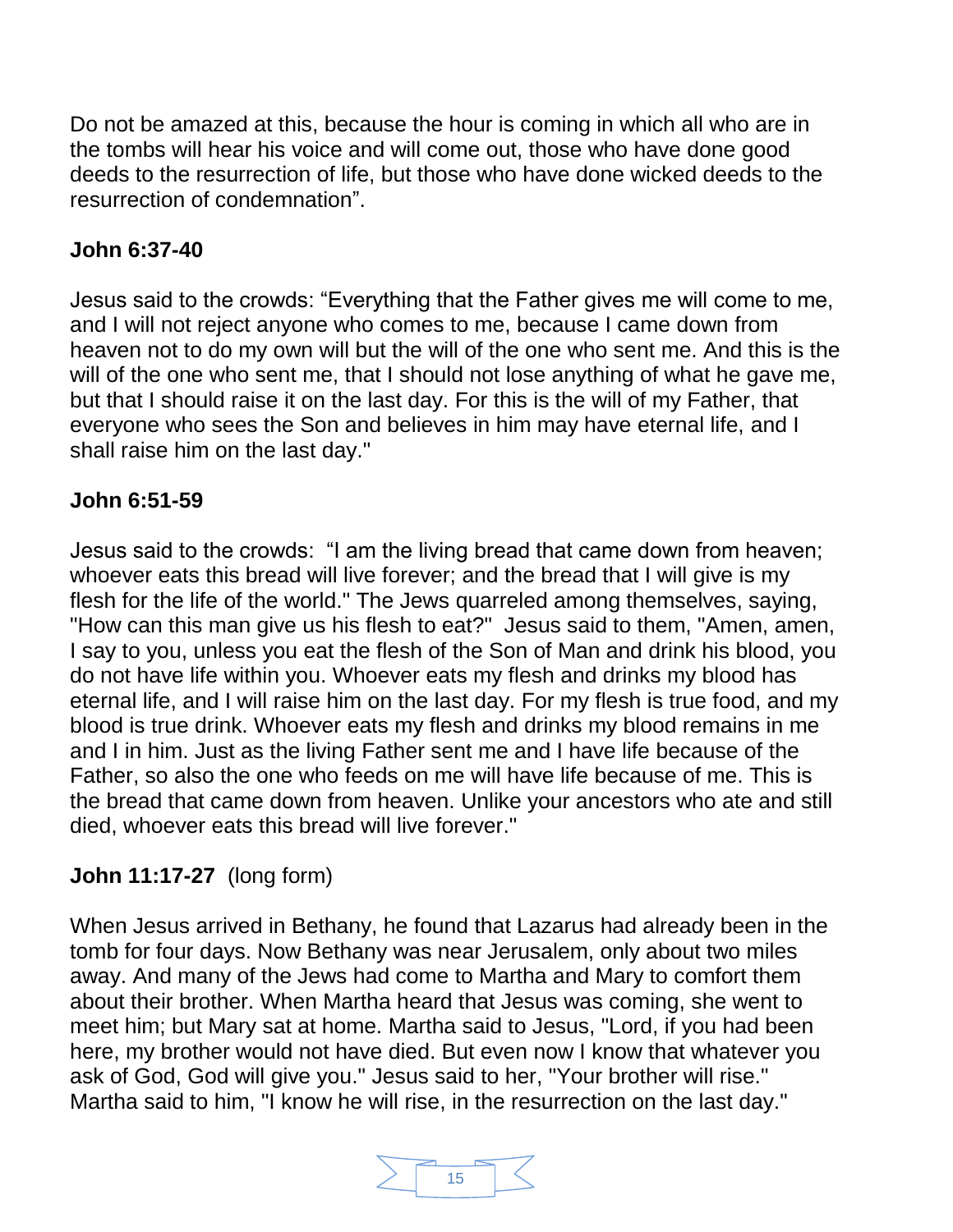Do not be amazed at this, because the hour is coming in which all who are in the tombs will hear his voice and will come out, those who have done good deeds to the resurrection of life, but those who have done wicked deeds to the resurrection of condemnation".

# **John 6:37-40**

Jesus said to the crowds: "Everything that the Father gives me will come to me, and I will not reject anyone who comes to me, because I came down from heaven not to do my own will but the will of the one who sent me. And this is the will of the one who sent me, that I should not lose anything of what he gave me, but that I should raise it on the last day. For this is the will of my Father, that everyone who sees the Son and believes in him may have eternal life, and I shall raise him on the last day."

# **John 6:51-59**

Jesus said to the crowds: "I am the living bread that came down from heaven; whoever eats this bread will live forever; and the bread that I will give is my flesh for the life of the world." The Jews quarreled among themselves, saying, "How can this man give us his flesh to eat?" Jesus said to them, "Amen, amen, I say to you, unless you eat the flesh of the Son of Man and drink his blood, you do not have life within you. Whoever eats my flesh and drinks my blood has eternal life, and I will raise him on the last day. For my flesh is true food, and my blood is true drink. Whoever eats my flesh and drinks my blood remains in me and I in him. Just as the living Father sent me and I have life because of the Father, so also the one who feeds on me will have life because of me. This is the bread that came down from heaven. Unlike your ancestors who ate and still died, whoever eats this bread will live forever."

# **John 11:17-27** (long form)

When Jesus arrived in Bethany, he found that Lazarus had already been in the tomb for four days. Now Bethany was near Jerusalem, only about two miles away. And many of the Jews had come to Martha and Mary to comfort them about their brother. When Martha heard that Jesus was coming, she went to meet him; but Mary sat at home. Martha said to Jesus, "Lord, if you had been here, my brother would not have died. But even now I know that whatever you ask of God, God will give you." Jesus said to her, "Your brother will rise." Martha said to him, "I know he will rise, in the resurrection on the last day."

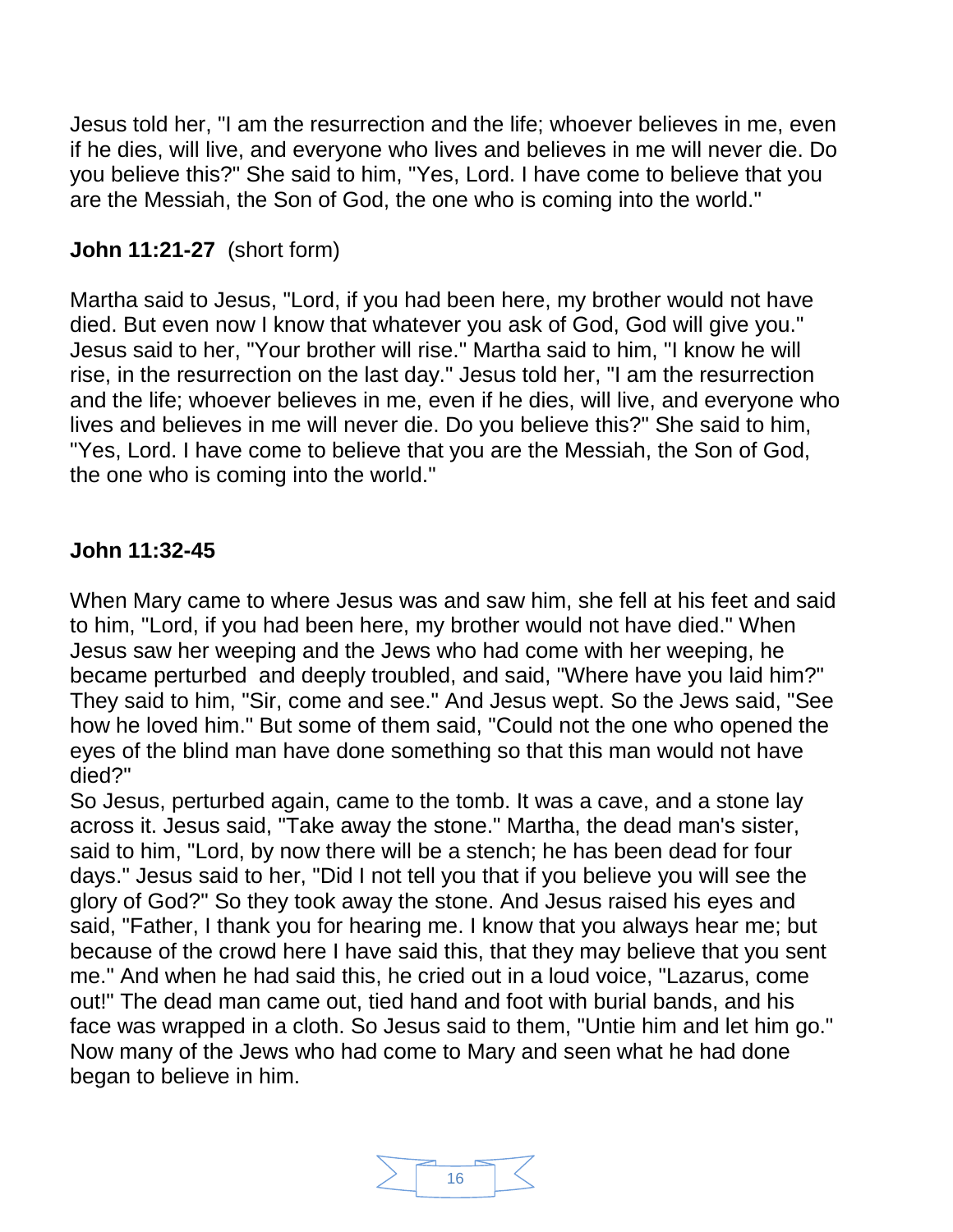Jesus told her, "I am the resurrection and the life; whoever believes in me, even if he dies, will live, and everyone who lives and believes in me will never die. Do you believe this?" She said to him, "Yes, Lord. I have come to believe that you are the Messiah, the Son of God, the one who is coming into the world."

## **John 11:21-27** (short form)

Martha said to Jesus, "Lord, if you had been here, my brother would not have died. But even now I know that whatever you ask of God, God will give you." Jesus said to her, "Your brother will rise." Martha said to him, "I know he will rise, in the resurrection on the last day." Jesus told her, "I am the resurrection and the life; whoever believes in me, even if he dies, will live, and everyone who lives and believes in me will never die. Do you believe this?" She said to him, "Yes, Lord. I have come to believe that you are the Messiah, the Son of God, the one who is coming into the world."

## **John 11:32-45**

When Mary came to where Jesus was and saw him, she fell at his feet and said to him, "Lord, if you had been here, my brother would not have died." When Jesus saw her weeping and the Jews who had come with her weeping, he became perturbed and deeply troubled, and said, "Where have you laid him?" They said to him, "Sir, come and see." And Jesus wept. So the Jews said, "See how he loved him." But some of them said, "Could not the one who opened the eyes of the blind man have done something so that this man would not have died?"

So Jesus, perturbed again, came to the tomb. It was a cave, and a stone lay across it. Jesus said, "Take away the stone." Martha, the dead man's sister, said to him, "Lord, by now there will be a stench; he has been dead for four days." Jesus said to her, "Did I not tell you that if you believe you will see the glory of God?" So they took away the stone. And Jesus raised his eyes and said, "Father, I thank you for hearing me. I know that you always hear me; but because of the crowd here I have said this, that they may believe that you sent me." And when he had said this, he cried out in a loud voice, "Lazarus, come out!" The dead man came out, tied hand and foot with burial bands, and his face was wrapped in a cloth. So Jesus said to them, "Untie him and let him go." Now many of the Jews who had come to Mary and seen what he had done began to believe in him.

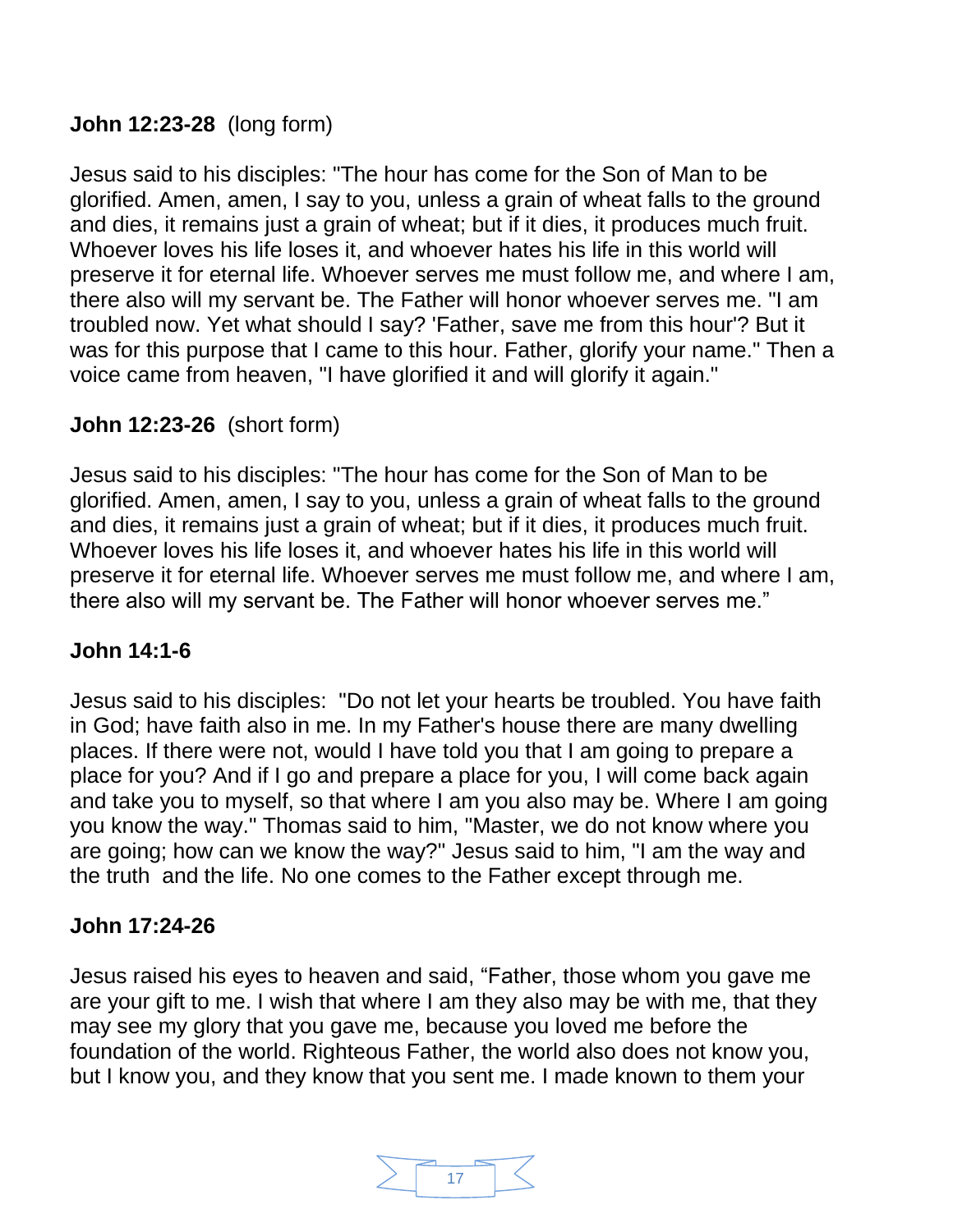### **John 12:23-28** (long form)

Jesus said to his disciples: "The hour has come for the Son of Man to be glorified. Amen, amen, I say to you, unless a grain of wheat falls to the ground and dies, it remains just a grain of wheat; but if it dies, it produces much fruit. Whoever loves his life loses it, and whoever hates his life in this world will preserve it for eternal life. Whoever serves me must follow me, and where I am, there also will my servant be. The Father will honor whoever serves me. "I am troubled now. Yet what should I say? 'Father, save me from this hour'? But it was for this purpose that I came to this hour. Father, glorify your name." Then a voice came from heaven, "I have glorified it and will glorify it again."

## **John 12:23-26** (short form)

Jesus said to his disciples: "The hour has come for the Son of Man to be glorified. Amen, amen, I say to you, unless a grain of wheat falls to the ground and dies, it remains just a grain of wheat; but if it dies, it produces much fruit. Whoever loves his life loses it, and whoever hates his life in this world will preserve it for eternal life. Whoever serves me must follow me, and where I am, there also will my servant be. The Father will honor whoever serves me."

#### **John 14:1-6**

Jesus said to his disciples: "Do not let your hearts be troubled. You have faith in God; have faith also in me. In my Father's house there are many dwelling places. If there were not, would I have told you that I am going to prepare a place for you? And if I go and prepare a place for you, I will come back again and take you to myself, so that where I am you also may be. Where I am going you know the way." Thomas said to him, "Master, we do not know where you are going; how can we know the way?" Jesus said to him, "I am the way and the truth and the life. No one comes to the Father except through me.

#### **John 17:24-26**

Jesus raised his eyes to heaven and said, "Father, those whom you gave me are your gift to me. I wish that where I am they also may be with me, that they may see my glory that you gave me, because you loved me before the foundation of the world. Righteous Father, the world also does not know you, but I know you, and they know that you sent me. I made known to them your